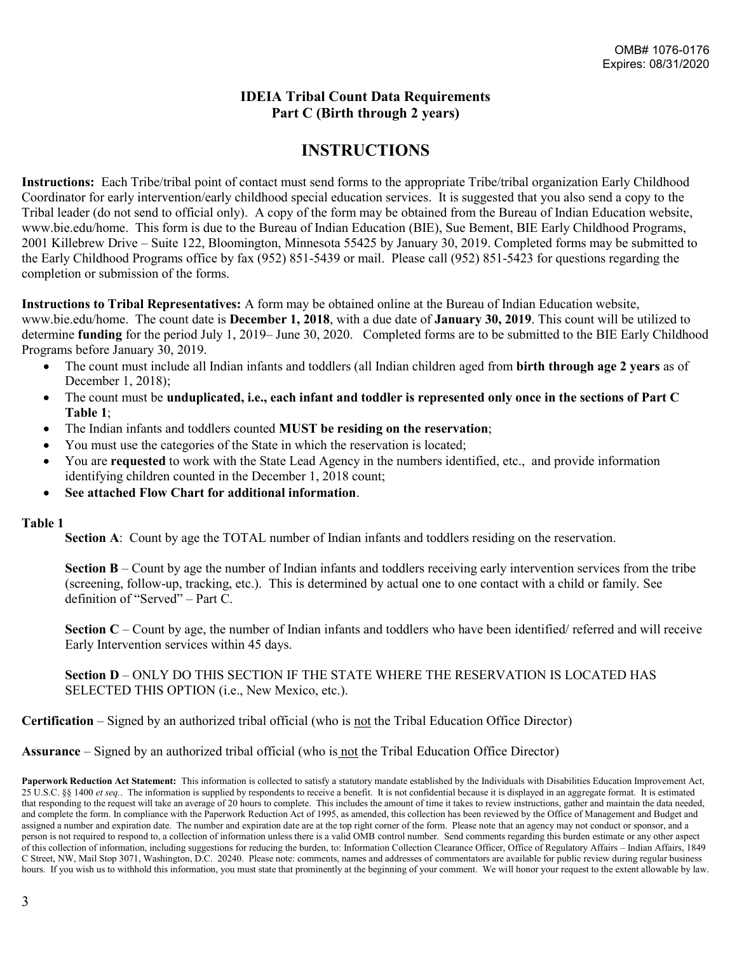#### **IDEIA Tribal Count Data Requirements Part C (Birth through 2 years)**

## **INSTRUCTIONS**

**Instructions:** Each Tribe/tribal point of contact must send forms to the appropriate Tribe/tribal organization Early Childhood Coordinator for early intervention/early childhood special education services. It is suggested that you also send a copy to the Tribal leader (do not send to official only). A copy of the form may be obtained from the Bureau of Indian Education website, www.bie.edu/home. This form is due to the Bureau of Indian Education (BIE), Sue Bement, BIE Early Childhood Programs, 2001 Killebrew Drive – Suite 122, Bloomington, Minnesota 55425 by January 30, 2019. Completed forms may be submitted to the Early Childhood Programs office by fax (952) 851-5439 or mail. Please call (952) 851-5423 for questions regarding the completion or submission of the forms.

**Instructions to Tribal Representatives:** A form may be obtained online at the Bureau of Indian Education website, www.bie.edu/home. The count date is **December 1, 2018**, with a due date of **January 30, 2019**. This count will be utilized to determine **funding** for the period July 1, 2019– June 30, 2020. Completed forms are to be submitted to the BIE Early Childhood Programs before January 30, 2019.

- The count must include all Indian infants and toddlers (all Indian children aged from **birth through age 2 years** as of December 1, 2018);
- The count must be **unduplicated, i.e., each infant and toddler is represented only once in the sections of Part C Table 1**;
- The Indian infants and toddlers counted **MUST be residing on the reservation**;
- You must use the categories of the State in which the reservation is located;
- You are **requested** to work with the State Lead Agency in the numbers identified, etc., and provide information identifying children counted in the December 1, 2018 count;
- **See attached Flow Chart for additional information**.

#### **Table 1**

**Section A:** Count by age the TOTAL number of Indian infants and toddlers residing on the reservation.

**Section B** – Count by age the number of Indian infants and toddlers receiving early intervention services from the tribe (screening, follow-up, tracking, etc.). This is determined by actual one to one contact with a child or family. See definition of "Served" – Part C.

**Section C** – Count by age, the number of Indian infants and toddlers who have been identified/ referred and will receive Early Intervention services within 45 days.

**Section D** – ONLY DO THIS SECTION IF THE STATE WHERE THE RESERVATION IS LOCATED HAS SELECTED THIS OPTION (i.e., New Mexico, etc.).

#### **Certification** – Signed by an authorized tribal official (who is not the Tribal Education Office Director)

**Assurance** – Signed by an authorized tribal official (who is not the Tribal Education Office Director)

Paperwork Reduction Act Statement: This information is collected to satisfy a statutory mandate established by the Individuals with Disabilities Education Improvement Act, 25 U.S.C. §§ 1400 *et seq.*. The information is supplied by respondents to receive a benefit. It is not confidential because it is displayed in an aggregate format. It is estimated that responding to the request will take an average of 20 hours to complete. This includes the amount of time it takes to review instructions, gather and maintain the data needed, and complete the form. In compliance with the Paperwork Reduction Act of 1995, as amended, this collection has been reviewed by the Office of Management and Budget and assigned a number and expiration date. The number and expiration date are at the top right corner of the form. Please note that an agency may not conduct or sponsor, and a person is not required to respond to, a collection of information unless there is a valid OMB control number. Send comments regarding this burden estimate or any other aspect of this collection of information, including suggestions for reducing the burden, to: Information Collection Clearance Officer, Office of Regulatory Affairs – Indian Affairs, 1849 C Street, NW, Mail Stop 3071, Washington, D.C. 20240. Please note: comments, names and addresses of commentators are available for public review during regular business hours. If you wish us to withhold this information, you must state that prominently at the beginning of your comment. We will honor your request to the extent allowable by law.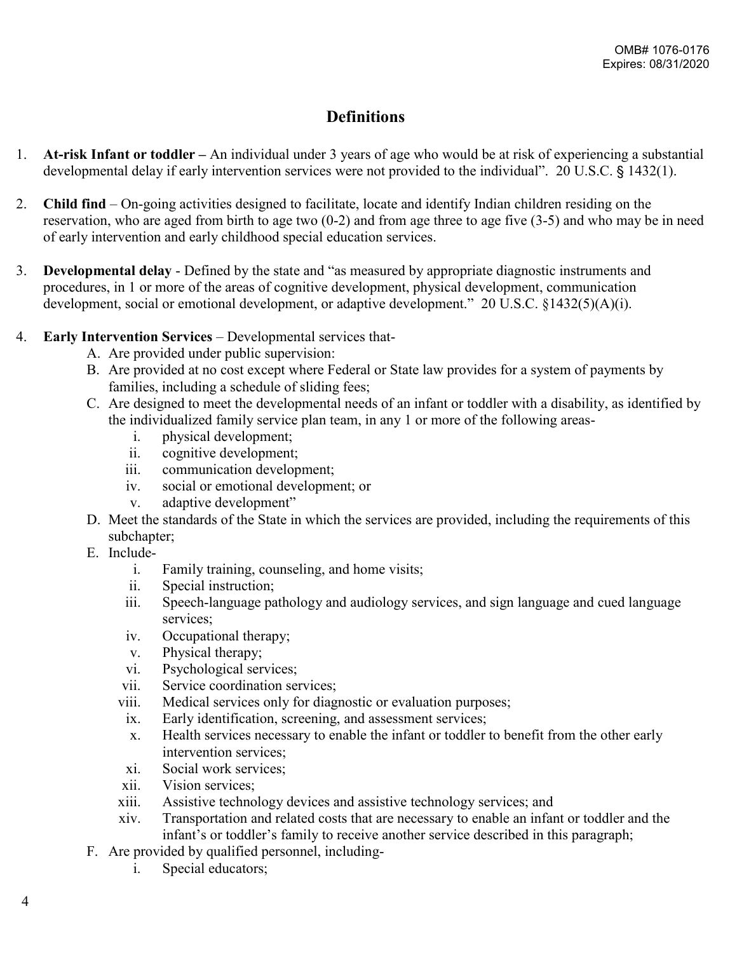# **Definitions**

- 1. **At-risk Infant or toddler –** An individual under 3 years of age who would be at risk of experiencing a substantial developmental delay if early intervention services were not provided to the individual". 20 U.S.C. § 1432(1).
- 2. **Child find** On-going activities designed to facilitate, locate and identify Indian children residing on the reservation, who are aged from birth to age two (0-2) and from age three to age five (3-5) and who may be in need of early intervention and early childhood special education services.
- 3. **Developmental delay**  Defined by the state and "as measured by appropriate diagnostic instruments and procedures, in 1 or more of the areas of cognitive development, physical development, communication development, social or emotional development, or adaptive development." 20 U.S.C. §1432(5)(A)(i).
- 4. **Early Intervention Services** Developmental services that-
	- A. Are provided under public supervision:
	- B. Are provided at no cost except where Federal or State law provides for a system of payments by families, including a schedule of sliding fees;
	- C. Are designed to meet the developmental needs of an infant or toddler with a disability, as identified by the individualized family service plan team, in any 1 or more of the following areas
		- i. physical development;
		- ii. cognitive development;
		- iii. communication development;
		- iv. social or emotional development; or
		- v. adaptive development"
	- D. Meet the standards of the State in which the services are provided, including the requirements of this subchapter;
	- E. Include
		- i. Family training, counseling, and home visits;
		- ii. Special instruction;
		- iii. Speech-language pathology and audiology services, and sign language and cued language services;
		- iv. Occupational therapy;
		- v. Physical therapy;
		- vi. Psychological services;
		- vii. Service coordination services;
		- viii. Medical services only for diagnostic or evaluation purposes;
			- ix. Early identification, screening, and assessment services;
			- x. Health services necessary to enable the infant or toddler to benefit from the other early intervention services;
			- xi. Social work services;
		- xii. Vision services;
		- xiii. Assistive technology devices and assistive technology services; and
		- xiv. Transportation and related costs that are necessary to enable an infant or toddler and the infant's or toddler's family to receive another service described in this paragraph;
	- F. Are provided by qualified personnel, including
		- i. Special educators;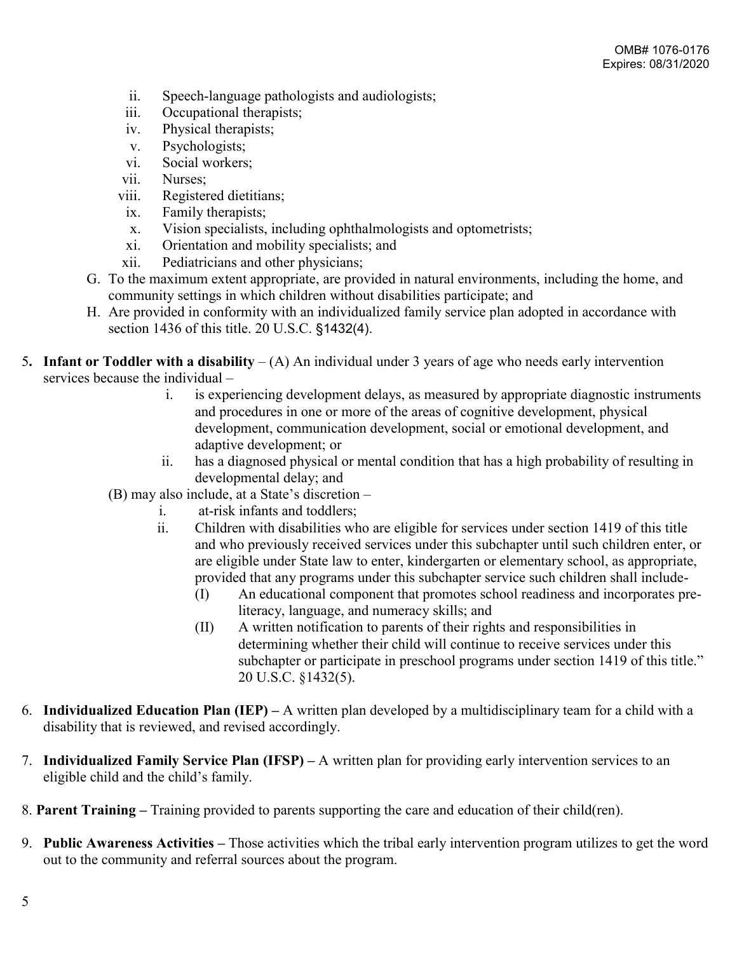- ii. Speech-language pathologists and audiologists;
- iii. Occupational therapists;
- iv. Physical therapists;
- v. Psychologists;
- vi. Social workers;
- vii. Nurses;
- viii. Registered dietitians;
	- ix. Family therapists;
	- x. Vision specialists, including ophthalmologists and optometrists;
- xi. Orientation and mobility specialists; and
- xii. Pediatricians and other physicians;
- G. To the maximum extent appropriate, are provided in natural environments, including the home, and community settings in which children without disabilities participate; and
- H. Are provided in conformity with an individualized family service plan adopted in accordance with section 1436 of this title. 20 U.S.C. §1432(4).
- 5**. Infant or Toddler with a disability** (A) An individual under 3 years of age who needs early intervention services because the individual –
	- i. is experiencing development delays, as measured by appropriate diagnostic instruments and procedures in one or more of the areas of cognitive development, physical development, communication development, social or emotional development, and adaptive development; or
	- ii. has a diagnosed physical or mental condition that has a high probability of resulting in developmental delay; and
	- (B) may also include, at a State's discretion
		- i. at-risk infants and toddlers;
		- ii. Children with disabilities who are eligible for services under section 1419 of this title and who previously received services under this subchapter until such children enter, or are eligible under State law to enter, kindergarten or elementary school, as appropriate, provided that any programs under this subchapter service such children shall include-
			- (I) An educational component that promotes school readiness and incorporates preliteracy, language, and numeracy skills; and
			- (II) A written notification to parents of their rights and responsibilities in determining whether their child will continue to receive services under this subchapter or participate in preschool programs under section 1419 of this title." 20 U.S.C. §1432(5).
- 6. **Individualized Education Plan (IEP) –** A written plan developed by a multidisciplinary team for a child with a disability that is reviewed, and revised accordingly.
- 7. **Individualized Family Service Plan (IFSP) –** A written plan for providing early intervention services to an eligible child and the child's family.
- 8. **Parent Training –** Training provided to parents supporting the care and education of their child(ren).
- 9. **Public Awareness Activities –** Those activities which the tribal early intervention program utilizes to get the word out to the community and referral sources about the program.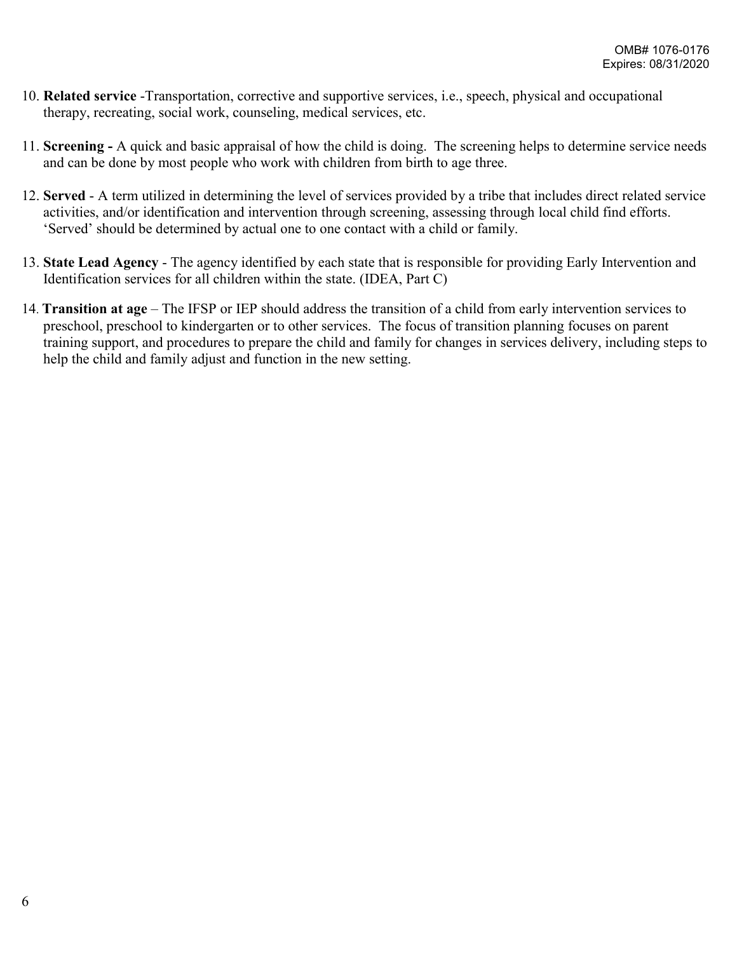- 10. **Related service** -Transportation, corrective and supportive services, i.e., speech, physical and occupational therapy, recreating, social work, counseling, medical services, etc.
- 11. **Screening -** A quick and basic appraisal of how the child is doing. The screening helps to determine service needs and can be done by most people who work with children from birth to age three.
- 12. **Served**  A term utilized in determining the level of services provided by a tribe that includes direct related service activities, and/or identification and intervention through screening, assessing through local child find efforts. 'Served' should be determined by actual one to one contact with a child or family.
- 13. **State Lead Agency** The agency identified by each state that is responsible for providing Early Intervention and Identification services for all children within the state. (IDEA, Part C)
- 14. **Transition at age** The IFSP or IEP should address the transition of a child from early intervention services to preschool, preschool to kindergarten or to other services. The focus of transition planning focuses on parent training support, and procedures to prepare the child and family for changes in services delivery, including steps to help the child and family adjust and function in the new setting.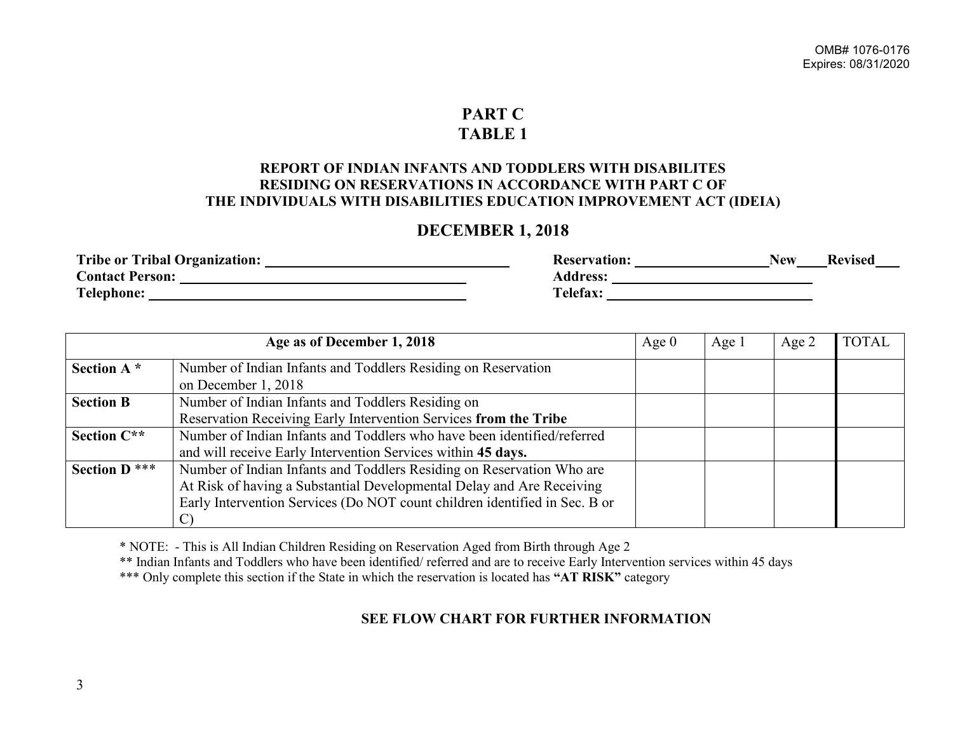#### **PART C TABLE 1**

#### **REPORT OF INDIAN INFANTS AND TODDLERS WITH DISABILITES RESIDING ON RESERVATIONS IN ACCORDANCE WITH PART C OF THE INDIVIDUALS WITH DISABILITIES EDUCATION IMPROVEMENT ACT (IDEIA)**

#### **DECEMBER 1, 2018**

| <b>Tribe or Tribal Organization:</b> | <b>Keservation:</b> | New<br>Kevised |
|--------------------------------------|---------------------|----------------|
| <b>Contact Person:</b>               | <b>Address:</b>     |                |
| <b>Telephone:</b>                    | Telefax:            |                |

|                      | Age as of December 1, 2018                                                 | Age $0$ | Age 1 | Age $2$ | <b>TOTAL</b> |
|----------------------|----------------------------------------------------------------------------|---------|-------|---------|--------------|
| Section A*           | Number of Indian Infants and Toddlers Residing on Reservation              |         |       |         |              |
| <b>Section B</b>     | on December 1, 2018<br>Number of Indian Infants and Toddlers Residing on   |         |       |         |              |
|                      | Reservation Receiving Early Intervention Services from the Tribe           |         |       |         |              |
| Section C**          | Number of Indian Infants and Toddlers who have been identified/referred    |         |       |         |              |
|                      | and will receive Early Intervention Services within 45 days.               |         |       |         |              |
| <b>Section D</b> *** | Number of Indian Infants and Toddlers Residing on Reservation Who are      |         |       |         |              |
|                      | At Risk of having a Substantial Developmental Delay and Are Receiving      |         |       |         |              |
|                      | Early Intervention Services (Do NOT count children identified in Sec. B or |         |       |         |              |
|                      | $\mathcal{C}$                                                              |         |       |         |              |

\* NOTE: - This is All Indian Children Residing on Reservation Aged from Birth through Age 2

\*\* Indian Infants and Toddlers who have been identified/ referred and are to receive Early Intervention services within 45 days

\*\*\* Only complete this section if the State in which the reservation is located has **"AT RISK"** category

### **SEE FLOW CHART FOR FURTHER INFORMATION**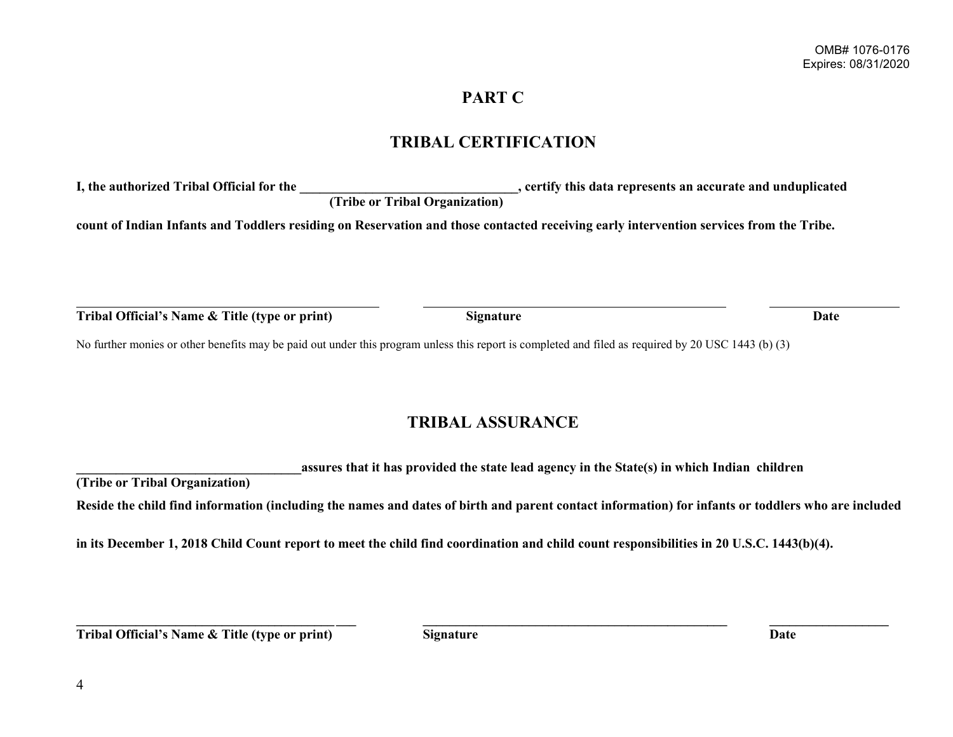## **PART C**

## **TRIBAL CERTIFICATION**

**I, the authorized Tribal Official for the \_\_\_\_\_\_\_\_\_\_\_\_\_\_\_\_\_\_\_\_\_\_\_\_\_\_\_\_\_\_\_\_\_, certify this data represents an accurate and unduplicated (Tribe or Tribal Organization)**

**count of Indian Infants and Toddlers residing on Reservation and those contacted receiving early intervention services from the Tribe.**

**Tribal Official's Name & Title (type or print) Signature Date**

No further monies or other benefits may be paid out under this program unless this report is completed and filed as required by 20 USC 1443 (b) (3)

## **TRIBAL ASSURANCE**

**\_\_\_\_\_\_\_\_\_\_\_\_\_\_\_\_\_\_\_\_\_\_\_\_\_\_\_\_\_\_\_\_\_\_assures that it has provided the state lead agency in the State(s) in which Indian children** 

**(Tribe or Tribal Organization)**

**Reside the child find information (including the names and dates of birth and parent contact information) for infants or toddlers who are included**

**\_\_\_\_\_\_\_\_\_\_\_\_\_\_\_\_\_\_\_\_\_\_\_\_\_\_\_\_\_\_\_\_\_\_\_\_\_\_\_ \_\_\_ \_\_\_\_\_\_\_\_\_\_\_\_\_\_\_\_\_\_\_\_\_\_\_\_\_\_\_\_\_\_\_\_\_\_\_\_\_\_\_\_\_\_\_\_\_\_ \_\_\_\_\_\_\_\_\_\_\_\_\_\_\_\_\_\_**

**in its December 1, 2018 Child Count report to meet the child find coordination and child count responsibilities in 20 U.S.C. 1443(b)(4).**